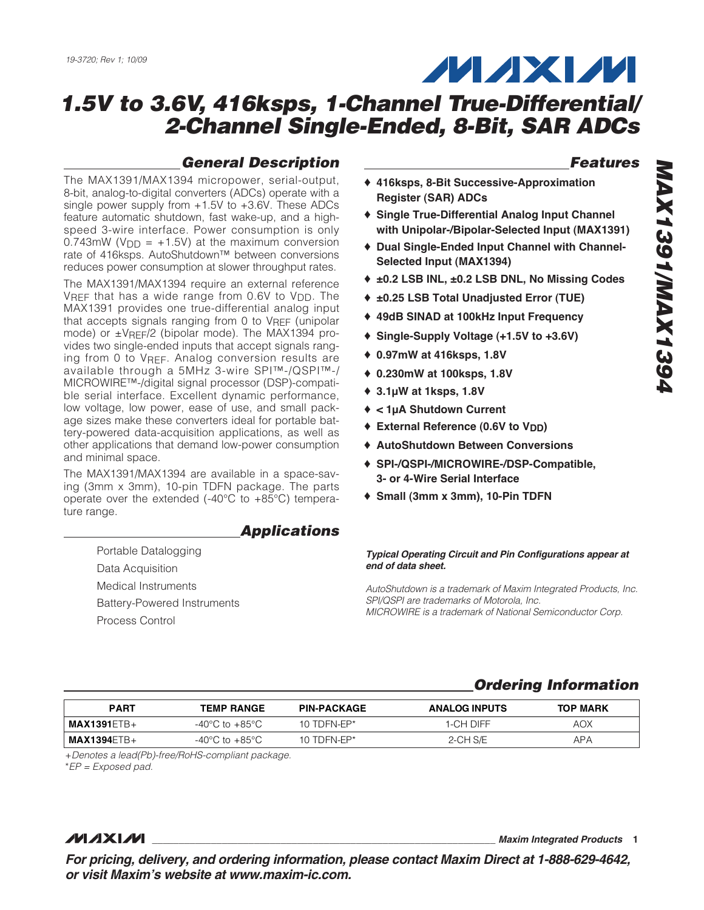

## **General Description**

The MAX1391/MAX1394 micropower, serial-output, 8-bit, analog-to-digital converters (ADCs) operate with a single power supply from +1.5V to +3.6V. These ADCs feature automatic shutdown, fast wake-up, and a highspeed 3-wire interface. Power consumption is only  $0.743$ mW ( $V_{DD}$  = +1.5V) at the maximum conversion rate of 416ksps. AutoShutdown™ between conversions reduces power consumption at slower throughput rates.

The MAX1391/MAX1394 require an external reference VREF that has a wide range from 0.6V to V<sub>DD</sub>. The MAX1391 provides one true-differential analog input that accepts signals ranging from 0 to VREF (unipolar mode) or  $\pm$ VRFF/2 (bipolar mode). The MAX1394 provides two single-ended inputs that accept signals ranging from 0 to VREF. Analog conversion results are available through a 5MHz 3-wire SPI™-/QSPI™-/ MICROWIRE™-/digital signal processor (DSP)-compatible serial interface. Excellent dynamic performance, low voltage, low power, ease of use, and small package sizes make these converters ideal for portable battery-powered data-acquisition applications, as well as other applications that demand low-power consumption and minimal space.

The MAX1391/MAX1394 are available in a space-saving (3mm x 3mm), 10-pin TDFN package. The parts operate over the extended (-40 $^{\circ}$ C to +85 $^{\circ}$ C) temperature range.

## **Applications**

Portable Datalogging Data Acquisition Medical Instruments Battery-Powered Instruments Process Control

## **Features**

- ♦ **416ksps, 8-Bit Successive-Approximation Register (SAR) ADCs**
- ♦ **Single True-Differential Analog Input Channel with Unipolar-/Bipolar-Selected Input (MAX1391)**
- ♦ **Dual Single-Ended Input Channel with Channel-Selected Input (MAX1394)**
- ♦ **±0.2 LSB INL, ±0.2 LSB DNL, No Missing Codes**
- ♦ **±0.25 LSB Total Unadjusted Error (TUE)**
- ♦ **49dB SINAD at 100kHz Input Frequency**
- ♦ **Single-Supply Voltage (+1.5V to +3.6V)**
- ♦ **0.97mW at 416ksps, 1.8V**
- ♦ **0.230mW at 100ksps, 1.8V**
- ♦ **3.1µW at 1ksps, 1.8V**
- ♦ **< 1µA Shutdown Current**
- ◆ External Reference (0.6V to V<sub>DD</sub>)
- ♦ **AutoShutdown Between Conversions**
- ♦ **SPI-/QSPI-/MICROWIRE-/DSP-Compatible, 3- or 4-Wire Serial Interface**
- ♦ **Small (3mm x 3mm), 10-Pin TDFN**

#### **Typical Operating Circuit and Pin Configurations appear at end of data sheet.**

AutoShutdown is a trademark of Maxim Integrated Products, Inc. SPI/QSPI are trademarks of Motorola, Inc. MICROWIRE is a trademark of National Semiconductor Corp.

## **Ordering Information**

| <b>PART</b>   | <b>TEMP RANGE</b>                  | <b>PIN-PACKAGE</b> | <b>ANALOG INPUTS</b> | <b>TOP MARK</b> |
|---------------|------------------------------------|--------------------|----------------------|-----------------|
| I MAX1391ETB+ | $-40^{\circ}$ C to $+85^{\circ}$ C | 10 TDFN-FP $*$     | 1-CH DIFF            | AOX             |
| I MAX1394ETB+ | $-40^{\circ}$ C to $+85^{\circ}$ C | 10 TDFN-EP*        | 2-CH S/E             | APA             |

+Denotes a lead(Pb)-free/RoHS-compliant package.

\*EP = Exposed pad.

## *MAXM*

**\_\_\_\_\_\_\_\_\_\_\_\_\_\_\_\_\_\_\_\_\_\_\_\_\_\_\_\_\_\_\_\_\_\_\_\_\_\_\_\_\_\_\_\_\_\_\_\_\_\_\_\_\_\_\_\_\_\_\_\_\_\_\_\_ Maxim Integrated Products 1**

**For pricing, delivery, and ordering information, please contact Maxim Direct at 1-888-629-4642, or visit Maxim's website at www.maxim-ic.com.**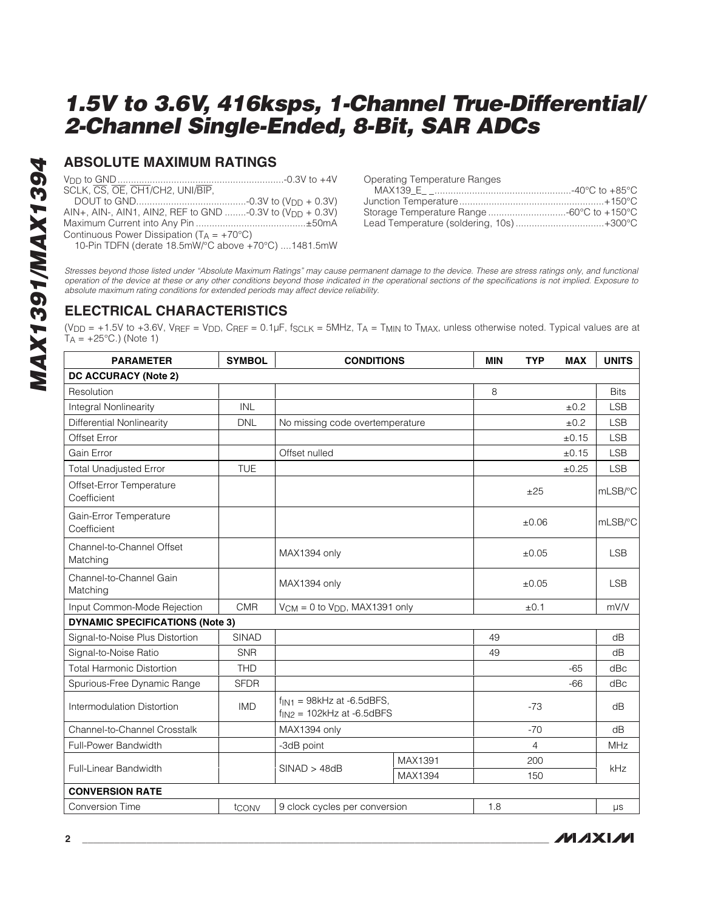### **ABSOLUTE MAXIMUM RATINGS**

VDD to GND..............................................................-0.3V to +4V SCLK, CS, OE, CH1/CH2, UNI/BIP, DOUT to GND.........................................-0.3V to (VDD + 0.3V) AIN+, AIN-, AIN1, AIN2, REF to GND ........-0.3V to  $(V_{DD} + 0.3V)$ Maximum Current into Any Pin .........................................±50mA

Continuous Power Dissipation  $(T_A = +70^{\circ}C)$ 

10-Pin TDFN (derate 18.5mW/°C above +70°C) ....1481.5mW

Stresses beyond those listed under "Absolute Maximum Ratings" may cause permanent damage to the device. These are stress ratings only, and functional operation of the device at these or any other conditions beyond those indicated in the operational sections of the specifications is not implied. Exposure to absolute maximum rating conditions for extended periods may affect device reliability.

## **ELECTRICAL CHARACTERISTICS**

( $V_{DD}$  = +1.5V to +3.6V,  $V_{REF}$  =  $V_{DD}$ ,  $C_{REF}$  = 0.1µF,  $f_{SCLK}$  = 5MHz,  $T_A$  =  $T_{MIN}$  to  $T_{MAX}$ , unless otherwise noted. Typical values are at  $T_A = +25$ °C.) (Note 1)

| <b>PARAMETER</b>                        | <b>SYMBOL</b> | <b>CONDITIONS</b>                                                |         | <b>MIN</b> | <b>TYP</b>     | <b>MAX</b> | <b>UNITS</b> |
|-----------------------------------------|---------------|------------------------------------------------------------------|---------|------------|----------------|------------|--------------|
| DC ACCURACY (Note 2)                    |               |                                                                  |         |            |                |            |              |
| Resolution                              |               |                                                                  |         | 8          |                |            | <b>Bits</b>  |
| <b>Integral Nonlinearity</b>            | INL           |                                                                  |         |            |                | ±0.2       | <b>LSB</b>   |
| <b>Differential Nonlinearity</b>        | <b>DNL</b>    | No missing code overtemperature                                  |         |            |                | ±0.2       | <b>LSB</b>   |
| Offset Error                            |               |                                                                  |         |            |                | ±0.15      | <b>LSB</b>   |
| Gain Error                              |               | Offset nulled                                                    |         |            |                | ±0.15      | <b>LSB</b>   |
| <b>Total Unadjusted Error</b>           | <b>TUE</b>    |                                                                  |         |            |                | ±0.25      | <b>LSB</b>   |
| Offset-Error Temperature<br>Coefficient |               |                                                                  |         |            | ±25            |            | mLSB/°C      |
| Gain-Error Temperature<br>Coefficient   |               |                                                                  |         |            | $\pm 0.06$     |            | mLSB/°C      |
| Channel-to-Channel Offset<br>Matching   |               | MAX1394 only                                                     |         |            | ±0.05          |            | <b>LSB</b>   |
| Channel-to-Channel Gain<br>Matching     |               | MAX1394 only                                                     |         |            | ±0.05          |            | <b>LSB</b>   |
| Input Common-Mode Rejection             | <b>CMR</b>    | $V_{CM} = 0$ to $V_{DD}$ , MAX1391 only                          |         |            | ±0.1           |            | mV/V         |
| <b>DYNAMIC SPECIFICATIONS (Note 3)</b>  |               |                                                                  |         |            |                |            |              |
| Signal-to-Noise Plus Distortion         | <b>SINAD</b>  |                                                                  |         | 49         |                |            | dB           |
| Signal-to-Noise Ratio                   | <b>SNR</b>    |                                                                  |         | 49         |                |            | dB           |
| <b>Total Harmonic Distortion</b>        | <b>THD</b>    |                                                                  |         |            |                | $-65$      | dBc          |
| Spurious-Free Dynamic Range             | <b>SFDR</b>   |                                                                  |         |            |                | $-66$      | dBc          |
| Intermodulation Distortion              | <b>IMD</b>    | $f_{IN1}$ = 98kHz at -6.5dBFS,<br>$f_{IN2}$ = 102kHz at -6.5dBFS |         |            | $-73$          |            | dB           |
| Channel-to-Channel Crosstalk            |               | MAX1394 only                                                     |         |            | $-70$          |            | dB           |
| Full-Power Bandwidth                    |               | -3dB point                                                       |         |            | $\overline{4}$ |            | <b>MHz</b>   |
| Full-Linear Bandwidth                   |               | SINAD > 48dB                                                     | MAX1391 |            | 200            |            | kHz          |
|                                         |               |                                                                  | MAX1394 |            | 150            |            |              |
| <b>CONVERSION RATE</b>                  |               |                                                                  |         |            |                |            |              |
| <b>Conversion Time</b>                  | tconv         | 9 clock cycles per conversion                                    |         | 1.8        |                |            | $\mu s$      |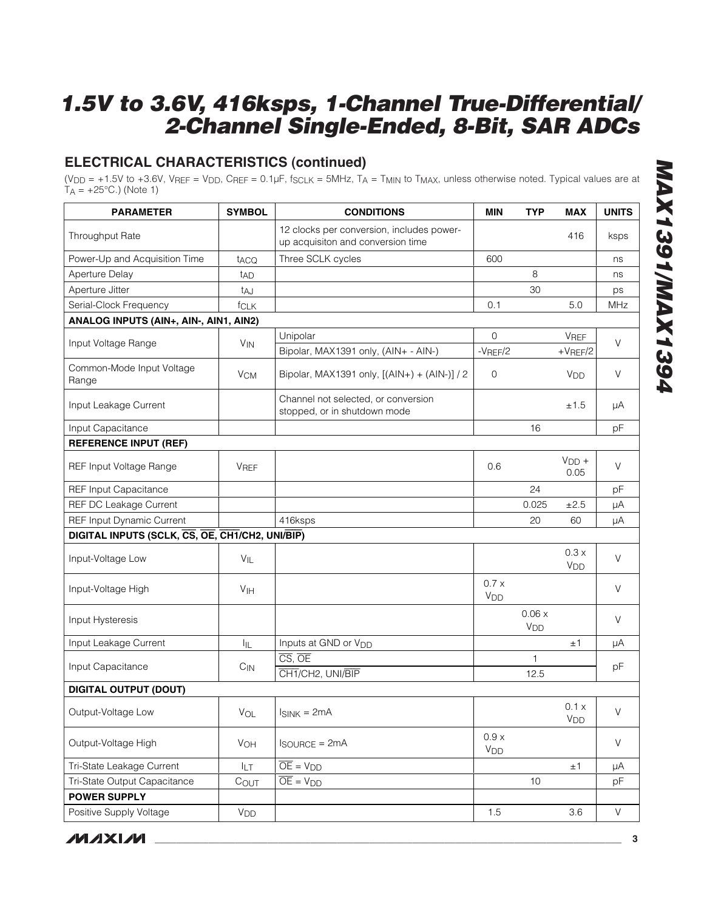## **ELECTRICAL CHARACTERISTICS (continued)**

(V<sub>DD</sub> = +1.5V to +3.6V, V<sub>REF</sub> = V<sub>DD</sub>, C<sub>REF</sub> = 0.1µF, f<sub>SCLK</sub> = 5MHz, T<sub>A</sub> = T<sub>MIN</sub> to T<sub>MAX</sub>, unless otherwise noted. Typical values are at  $T_A = +25^{\circ}$ C.) (Note 1)

| <b>PARAMETER</b>                                | <b>SYMBOL</b>         | <b>CONDITIONS</b>                                                              | <b>MIN</b>                    | <b>TYP</b>               | <b>MAX</b>               | <b>UNITS</b> |
|-------------------------------------------------|-----------------------|--------------------------------------------------------------------------------|-------------------------------|--------------------------|--------------------------|--------------|
| <b>Throughput Rate</b>                          |                       | 12 clocks per conversion, includes power-<br>up acquisiton and conversion time |                               |                          | 416                      | ksps         |
| Power-Up and Acquisition Time                   | t <sub>ACQ</sub>      | Three SCLK cycles                                                              | 600                           |                          |                          | ns           |
| Aperture Delay                                  | tad                   |                                                                                |                               | 8                        |                          | ns           |
| Aperture Jitter                                 | t <sub>AJ</sub>       |                                                                                |                               | 30                       |                          | ps           |
| Serial-Clock Frequency                          | fCLK                  |                                                                                | 0.1                           |                          | 5.0                      | MHz          |
| ANALOG INPUTS (AIN+, AIN-, AIN1, AIN2)          |                       |                                                                                |                               |                          |                          |              |
|                                                 |                       | Unipolar                                                                       | $\Omega$                      |                          | <b>VREF</b>              | $\vee$       |
| Input Voltage Range                             | <b>V<sub>IN</sub></b> | Bipolar, MAX1391 only, (AIN+ - AIN-)                                           | $-V$ REF $/2$                 |                          | $+V$ REF/2               |              |
| Common-Mode Input Voltage<br>Range              | <b>V<sub>CM</sub></b> | Bipolar, MAX1391 only, [(AIN+) + (AIN-)] / 2                                   | $\mathbf 0$                   |                          | <b>V<sub>DD</sub></b>    | $\vee$       |
| Input Leakage Current                           |                       | Channel not selected, or conversion<br>stopped, or in shutdown mode            |                               |                          | ±1.5                     | μA           |
| Input Capacitance                               |                       |                                                                                |                               | 16                       |                          | pF           |
| <b>REFERENCE INPUT (REF)</b>                    |                       |                                                                                |                               |                          |                          |              |
| REF Input Voltage Range                         | <b>VREF</b>           |                                                                                | 0.6                           |                          | $VDD +$<br>0.05          | $\vee$       |
| <b>REF Input Capacitance</b>                    |                       |                                                                                |                               | 24                       |                          | pF           |
| <b>REF DC Leakage Current</b>                   |                       |                                                                                |                               | 0.025                    | ±2.5                     | μA           |
| REF Input Dynamic Current                       |                       | 416ksps                                                                        |                               | 20                       | 60                       | μA           |
| DIGITAL INPUTS (SCLK, CS, OE, CH1/CH2, UNI/BIP) |                       |                                                                                |                               |                          |                          |              |
| Input-Voltage Low                               | VIL                   |                                                                                |                               |                          | 0.3x<br>V <sub>DD</sub>  | V            |
| Input-Voltage High                              | V <sub>IH</sub>       |                                                                                | 0.7x<br><b>V<sub>DD</sub></b> |                          |                          | $\vee$       |
| Input Hysteresis                                |                       |                                                                                |                               | 0.06x<br>V <sub>DD</sub> |                          | V            |
| Input Leakage Current                           | IIL                   | Inputs at GND or V <sub>DD</sub>                                               |                               |                          | ±1                       | μA           |
|                                                 |                       | $\overline{\text{CS}}$ , $\overline{\text{OE}}$                                |                               | 1                        |                          |              |
| Input Capacitance                               | $C_{IN}$              | CH1/CH2, UNI/BIP                                                               |                               | 12.5                     |                          | pF           |
| <b>DIGITAL OUTPUT (DOUT)</b>                    |                       |                                                                                |                               |                          |                          |              |
| Output-Voltage Low                              | VOL                   | $I_{SINK} = 2mA$                                                               |                               |                          | 0.1 x<br>V <sub>DD</sub> | $\vee$       |
| Output-Voltage High                             | VOH                   | $I$ SOURCE = $2mA$                                                             | 0.9 x<br>V <sub>DD</sub>      |                          |                          | $\mathsf V$  |
| Tri-State Leakage Current                       | <b>ILT</b>            | $\overline{OE}$ = $V_{DD}$                                                     |                               |                          | ±1                       | μA           |
| Tri-State Output Capacitance                    | COUT                  | $\overline{OE}$ = $V_{DD}$                                                     |                               | 10                       |                          | pF           |
| <b>POWER SUPPLY</b>                             |                       |                                                                                |                               |                          |                          |              |
| Positive Supply Voltage                         | V <sub>DD</sub>       |                                                                                | 1.5                           |                          | 3.6                      | $\mathsf{V}$ |

**MXXVIVI**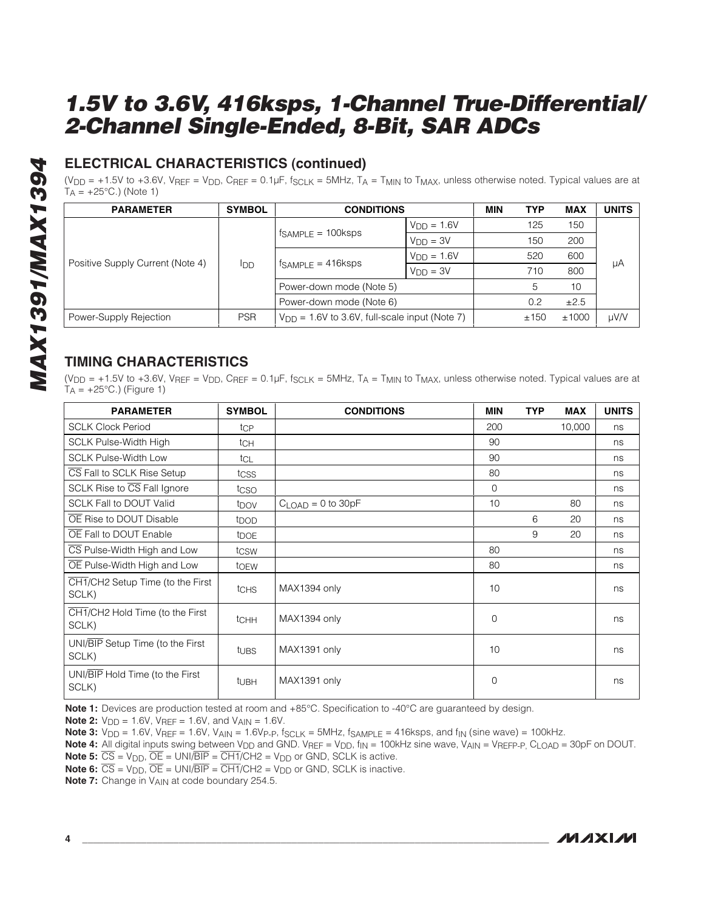## **ELECTRICAL CHARACTERISTICS (continued)**

( $V_{DD}$  = +1.5V to +3.6V,  $V_{REF}$  =  $V_{DD}$ ,  $C_{REF}$  = 0.1µF,  $f_{SCLK}$  = 5MHz,  $T_A$  =  $T_{MIN}$  to  $T_{MAX}$ , unless otherwise noted. Typical values are at  $T_A = +25^{\circ}$ C.) (Note 1)

| <b>PARAMETER</b>                 | <b>SYMBOL</b> | <b>CONDITIONS</b>                                  |                 | <b>MIN</b> | <b>TYP</b> | <b>MAX</b> | <b>UNITS</b> |
|----------------------------------|---------------|----------------------------------------------------|-----------------|------------|------------|------------|--------------|
|                                  | <b>I</b> DD   | $fsAMPLE = 100ksps$                                | $V_{DD} = 1.6V$ |            | 125        | 150        | μA           |
|                                  |               |                                                    | $V_{DD} = 3V$   |            | 150        | 200        |              |
|                                  |               | $f_{SAMPLE} = 416$ ksps                            | $VDD = 1.6V$    |            | 520        | 600        |              |
| Positive Supply Current (Note 4) |               |                                                    | $VDD = 3V$      |            | 710        | 800        |              |
|                                  |               | Power-down mode (Note 5)                           |                 |            | 5          | 10         |              |
|                                  |               | Power-down mode (Note 6)                           |                 |            | 0.2        | ±2.5       |              |
| Power-Supply Rejection           | <b>PSR</b>    | $V_{DD}$ = 1.6V to 3.6V, full-scale input (Note 7) |                 |            | ±150       | ±1000      | µV/V         |

## **TIMING CHARACTERISTICS**

(V<sub>DD</sub> = +1.5V to +3.6V, VREF = V<sub>DD</sub>, CREF = 0.1µF,  $f_{SCLK}$  = 5MHz, T<sub>A</sub> = T<sub>MIN</sub> to T<sub>MAX</sub>, unless otherwise noted. Typical values are at  $T_A = +25$ °C.) (Figure 1)

| <b>PARAMETER</b>                          | <b>SYMBOL</b>    | <b>CONDITIONS</b>   | <b>MIN</b>   | <b>TYP</b> | <b>MAX</b> | <b>UNITS</b> |
|-------------------------------------------|------------------|---------------------|--------------|------------|------------|--------------|
| <b>SCLK Clock Period</b>                  | tcp              |                     | 200          |            | 10,000     | ns           |
| <b>SCLK Pulse-Width High</b>              | tch              |                     | 90           |            |            | ns           |
| <b>SCLK Pulse-Width Low</b>               | tcL              |                     | 90           |            |            | ns           |
| CS Fall to SCLK Rise Setup                | tcss             |                     | 80           |            |            | ns           |
| SCLK Rise to $\overline{CS}$ Fall Ignore  | tcso             |                     | $\mathbf{0}$ |            |            | ns           |
| <b>SCLK Fall to DOUT Valid</b>            | t <sub>DOV</sub> | $CLOAD = 0$ to 30pF | 10           |            | 80         | ns           |
| OE Rise to DOUT Disable                   | t <sub>DOD</sub> |                     |              | 6          | 20         | ns           |
| OE Fall to DOUT Enable                    | t <sub>DOE</sub> |                     |              | 9          | 20         | ns           |
| CS Pulse-Width High and Low               | tcsw             |                     | 80           |            |            | ns           |
| OE Pulse-Width High and Low               | toew             |                     | 80           |            |            | ns           |
| CH1/CH2 Setup Time (to the First<br>SCLK) | tchs             | MAX1394 only        | 10           |            |            | ns           |
| CH1/CH2 Hold Time (to the First<br>SCLK)  | tCHH             | MAX1394 only        | $\Omega$     |            |            | ns           |
| UNI/BIP Setup Time (to the First<br>SCLK) | tubs             | MAX1391 only        | 10           |            |            | ns           |
| UNI/BIP Hold Time (to the First<br>SCLK)  | t <sub>UBH</sub> | MAX1391 only        | $\Omega$     |            |            | ns           |

**Note 1:** Devices are production tested at room and +85°C. Specification to -40°C are guaranteed by design.

**Note 2:**  $V_{DD} = 1.6V$ ,  $V_{REF} = 1.6V$ , and  $V_{AIN} = 1.6V$ .

**Note 3:**  $V_{DD} = 1.6V$ ,  $V_{REF} = 1.6V$ ,  $V_{AIN} = 1.6V_{P-P}$ ,  $f_{SCLK} = 5MHz$ ,  $f_{SAMPLE} = 416ksps$ , and  $f_{IN}$  (sine wave) = 100kHz.

**Note 4:** All digital inputs swing between V<sub>DD</sub> and GND. VREF = V<sub>DD</sub>, f<sub>IN</sub> = 100kHz sine wave, V<sub>AIN</sub> = VREFP-P, C<sub>LOAD</sub> = 30pF on DOUT. **Note 5:**  $\overline{CS}$  =  $V_{DD}$ ,  $\overline{OE}$  = UNI/ $\overline{BIP}$  =  $\overline{CH1}/CH2$  =  $V_{DD}$  or GND, SCLK is active.

**Note 6:**  $\overline{CS}$  =  $V_{DD}$ ,  $\overline{OE}$  = UNI/BIP =  $\overline{CH1}/CH2$  =  $V_{DD}$  or GND, SCLK is inactive.

**Note 7:** Change in V<sub>AIN</sub> at code boundary 254.5.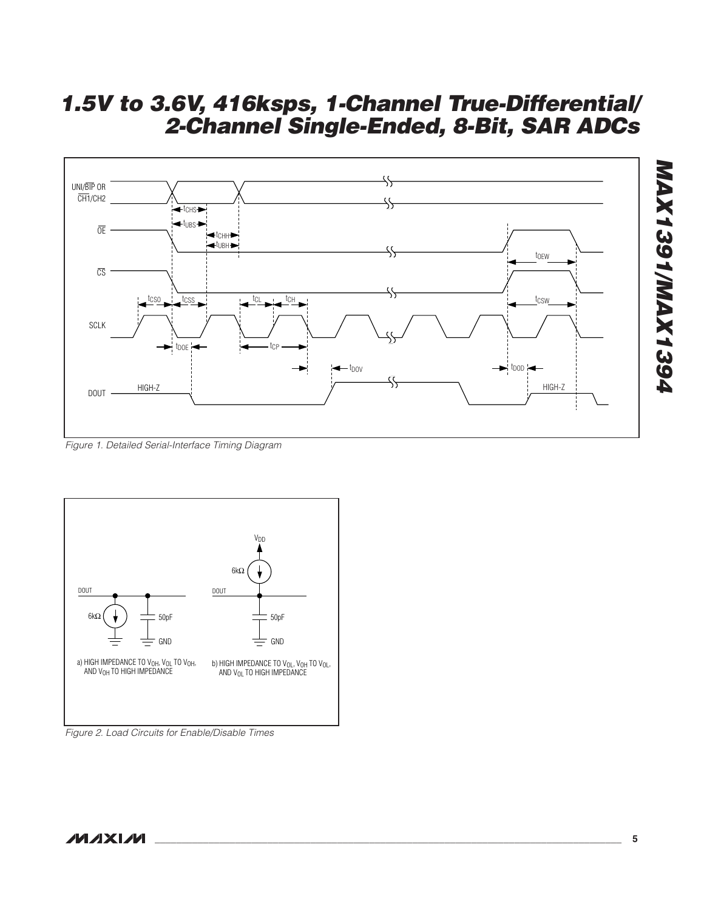

Figure 1. Detailed Serial-Interface Timing Diagram



Figure 2. Load Circuits for Enable/Disable Times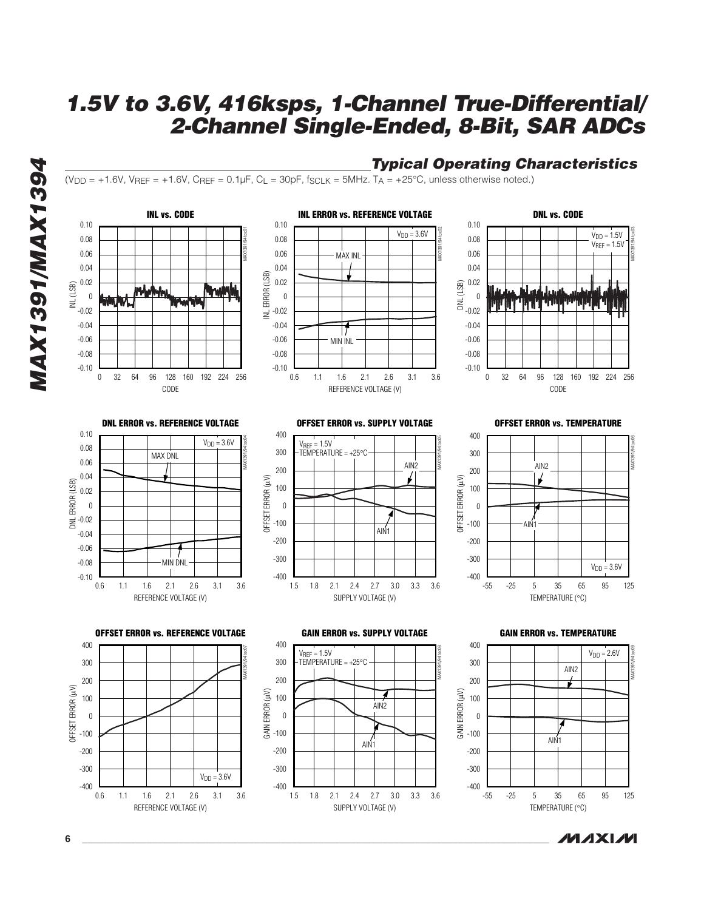

**MAXIM**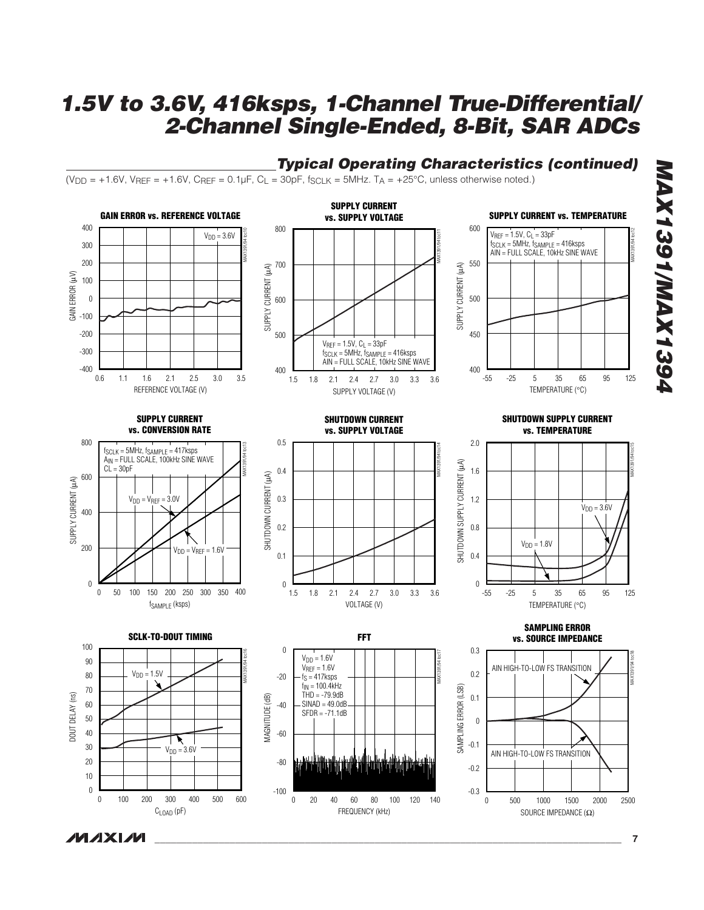

FREQUENCY (kHz)

## **Typical Operating Characteristics (continued)**

**MAXM** 

CLOAD (pF)

SOURCE IMPEDANCE (Ω)

**MAX1391/MAX1394**

**P6S FX AM/F0S FX AM**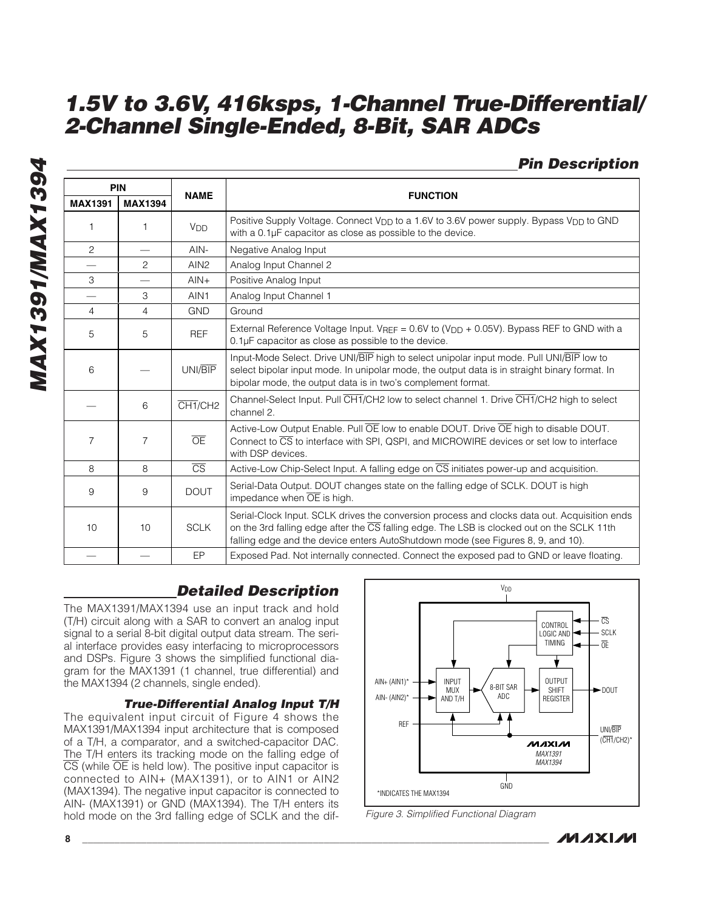## **Pin Description**

| <b>PIN</b>               |                |                        |                                                                                                                                                                                                                                                                                                    |  |  |  |
|--------------------------|----------------|------------------------|----------------------------------------------------------------------------------------------------------------------------------------------------------------------------------------------------------------------------------------------------------------------------------------------------|--|--|--|
| <b>MAX1391</b>           | <b>MAX1394</b> | <b>NAME</b>            | <b>FUNCTION</b>                                                                                                                                                                                                                                                                                    |  |  |  |
| 1                        | 1              | V <sub>DD</sub>        | Positive Supply Voltage. Connect V <sub>DD</sub> to a 1.6V to 3.6V power supply. Bypass V <sub>DD</sub> to GND<br>with a 0.1µF capacitor as close as possible to the device.                                                                                                                       |  |  |  |
| $\overline{c}$           |                | $AlN-$                 | Negative Analog Input                                                                                                                                                                                                                                                                              |  |  |  |
|                          | 2              | AIN <sub>2</sub>       | Analog Input Channel 2                                                                                                                                                                                                                                                                             |  |  |  |
| 3                        |                | $AlN+$                 | Positive Analog Input                                                                                                                                                                                                                                                                              |  |  |  |
| $\overline{\phantom{0}}$ | 3              | AIN1                   | Analog Input Channel 1                                                                                                                                                                                                                                                                             |  |  |  |
| 4                        | 4              | <b>GND</b>             | Ground                                                                                                                                                                                                                                                                                             |  |  |  |
| 5                        | 5              | <b>REF</b>             | External Reference Voltage Input. VREF = $0.6V$ to (V <sub>DD</sub> + 0.05V). Bypass REF to GND with a<br>$0.1\mu$ F capacitor as close as possible to the device.                                                                                                                                 |  |  |  |
| 6                        |                | UNI/BIP                | Input-Mode Select. Drive UNI/BIP high to select unipolar input mode. Pull UNI/BIP low to<br>select bipolar input mode. In unipolar mode, the output data is in straight binary format. In<br>bipolar mode, the output data is in two's complement format.                                          |  |  |  |
|                          | 6              | CH <sub>1/CH2</sub>    | Channel-Select Input. Pull CHT/CH2 low to select channel 1. Drive CHT/CH2 high to select<br>channel 2.                                                                                                                                                                                             |  |  |  |
| $\overline{7}$           | $\overline{7}$ | $\overline{OE}$        | Active-Low Output Enable. Pull OE low to enable DOUT. Drive OE high to disable DOUT.<br>Connect to CS to interface with SPI, QSPI, and MICROWIRE devices or set low to interface<br>with DSP devices.                                                                                              |  |  |  |
| 8                        | 8              | $\overline{\text{CS}}$ | Active-Low Chip-Select Input. A falling edge on CS initiates power-up and acquisition.                                                                                                                                                                                                             |  |  |  |
| 9                        | 9              | <b>DOUT</b>            | Serial-Data Output. DOUT changes state on the falling edge of SCLK. DOUT is high<br>impedance when $\overline{OE}$ is high.                                                                                                                                                                        |  |  |  |
| 10                       | 10             | <b>SCLK</b>            | Serial-Clock Input. SCLK drives the conversion process and clocks data out. Acquisition ends<br>on the 3rd falling edge after the $\overline{\text{CS}}$ falling edge. The LSB is clocked out on the SCLK 11th<br>falling edge and the device enters AutoShutdown mode (see Figures 8, 9, and 10). |  |  |  |
|                          |                | EP                     | Exposed Pad. Not internally connected. Connect the exposed pad to GND or leave floating.                                                                                                                                                                                                           |  |  |  |

## **Detailed Description**

The MAX1391/MAX1394 use an input track and hold (T/H) circuit along with a SAR to convert an analog input signal to a serial 8-bit digital output data stream. The serial interface provides easy interfacing to microprocessors and DSPs. Figure 3 shows the simplified functional diagram for the MAX1391 (1 channel, true differential) and the MAX1394 (2 channels, single ended).

#### **True-Differential Analog Input T/H**

The equivalent input circuit of Figure 4 shows the MAX1391/MAX1394 input architecture that is composed of a T/H, a comparator, and a switched-capacitor DAC. The T/H enters its tracking mode on the falling edge of  $\overline{CS}$  (while  $\overline{OE}$  is held low). The positive input capacitor is connected to AIN+ (MAX1391), or to AIN1 or AIN2 (MAX1394). The negative input capacitor is connected to AIN- (MAX1391) or GND (MAX1394). The T/H enters its hold mode on the 3rd falling edge of SCLK and the dif-



Figure 3. Simplified Functional Diagram



**MAX1391/MAX1394 MAX1391/MAX1394**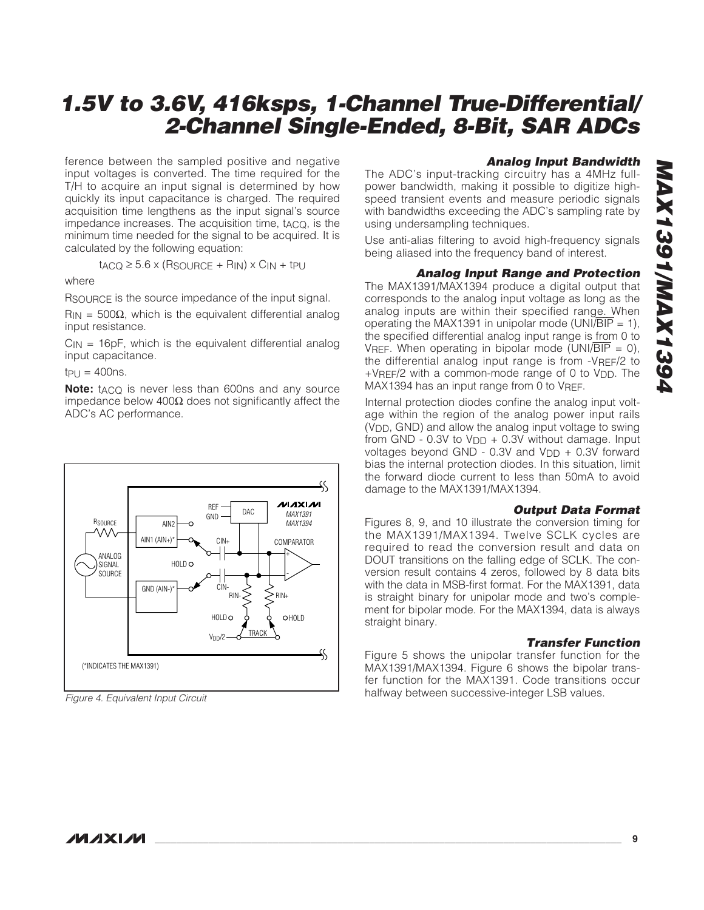ference between the sampled positive and negative input voltages is converted. The time required for the T/H to acquire an input signal is determined by how quickly its input capacitance is charged. The required acquisition time lengthens as the input signal's source impedance increases. The acquisition time, tACQ, is the minimum time needed for the signal to be acquired. It is calculated by the following equation:

$$
t_{ACQ} \ge 5.6 \times (R_{SOURCE} + R_{IN}) \times C_{IN} + tpU
$$

#### where

RSOURCE is the source impedance of the input signal.

 $R_{IN}$  = 500 $\Omega$ , which is the equivalent differential analog input resistance.

 $C_{IN}$  = 16pF, which is the equivalent differential analog input capacitance.

 $tpU = 400$ ns.

**Note:** t<sub>ACQ</sub> is never less than 600ns and any source impedance below 400Ω does not significantly affect the ADC's AC performance.



Figure 4. Equivalent Input Circuit

#### **Analog Input Bandwidth**

The ADC's input-tracking circuitry has a 4MHz fullpower bandwidth, making it possible to digitize highspeed transient events and measure periodic signals with bandwidths exceeding the ADC's sampling rate by using undersampling techniques.

Use anti-alias filtering to avoid high-frequency signals being aliased into the frequency band of interest.

#### **Analog Input Range and Protection**

The MAX1391/MAX1394 produce a digital output that corresponds to the analog input voltage as long as the analog inputs are within their specified range. When operating the MAX1391 in unipolar mode (UNI/BIP = 1), the specified differential analog input range is from 0 to VREF. When operating in bipolar mode (UNI/BIP = 0), the differential analog input range is from -VREF/2 to +VREF/2 with a common-mode range of 0 to VDD. The MAX1394 has an input range from 0 to VREF.

Internal protection diodes confine the analog input voltage within the region of the analog power input rails (V<sub>DD</sub>, GND) and allow the analog input voltage to swing from GND - 0.3V to  $V_{DD}$  + 0.3V without damage. Input voltages beyond GND -  $0.3V$  and  $V$ <sub>DD</sub> +  $0.3V$  forward bias the internal protection diodes. In this situation, limit the forward diode current to less than 50mA to avoid damage to the MAX1391/MAX1394.

#### **Output Data Format**

Figures 8, 9, and 10 illustrate the conversion timing for the MAX1391/MAX1394. Twelve SCLK cycles are required to read the conversion result and data on DOUT transitions on the falling edge of SCLK. The conversion result contains 4 zeros, followed by 8 data bits with the data in MSB-first format. For the MAX1391, data is straight binary for unipolar mode and two's complement for bipolar mode. For the MAX1394, data is always straight binary.

#### **Transfer Function**

Figure 5 shows the unipolar transfer function for the MAX1391/MAX1394. Figure 6 shows the bipolar transfer function for the MAX1391. Code transitions occur halfway between successive-integer LSB values.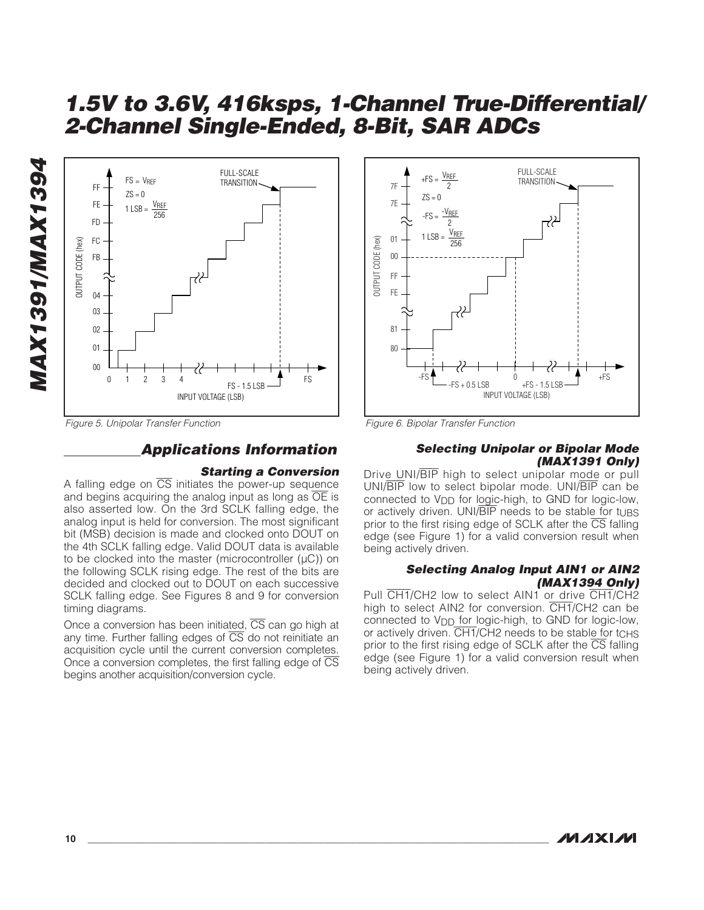

Figure 5. Unipolar Transfer Function

## **Applications Information**

#### **Starting a Conversion**

A falling edge on  $\overline{CS}$  initiates the power-up sequence and begins acquiring the analog input as long as  $\overline{OE}$  is also asserted low. On the 3rd SCLK falling edge, the analog input is held for conversion. The most significant bit (MSB) decision is made and clocked onto DOUT on the 4th SCLK falling edge. Valid DOUT data is available to be clocked into the master (microcontroller  $(µC)$ ) on the following SCLK rising edge. The rest of the bits are decided and clocked out to DOUT on each successive SCLK falling edge. See Figures 8 and 9 for conversion timing diagrams.

Once a conversion has been initiated, CS can go high at any time. Further falling edges of  $\overline{CS}$  do not reinitiate an acquisition cycle until the current conversion completes. Once a conversion completes, the first falling edge of  $\overline{\text{CS}}$ begins another acquisition/conversion cycle.



Figure 6. Bipolar Transfer Function

#### **Selecting Unipolar or Bipolar Mode (MAX1391 Only)**

Drive UNI/BIP high to select unipolar mode or pull UNI/BIP low to select bipolar mode. UNI/BIP can be connected to V<sub>DD</sub> for logic-high, to GND for logic-low, or actively driven. UNI/BIP needs to be stable for tups prior to the first rising edge of SCLK after the  $\overline{\text{CS}}$  falling edge (see Figure 1) for a valid conversion result when being actively driven.

#### **Selecting Analog Input AIN1 or AIN2 (MAX1394 Only)**

Pull CH1/CH2 low to select AIN1 or drive CH1/CH2 high to select AIN2 for conversion. CH1/CH2 can be connected to V<sub>DD</sub> for logic-high, to GND for logic-low, or actively driven. CH1/CH2 needs to be stable for tCHS prior to the first rising edge of SCLK after the  $\overline{CS}$  falling edge (see Figure 1) for a valid conversion result when being actively driven.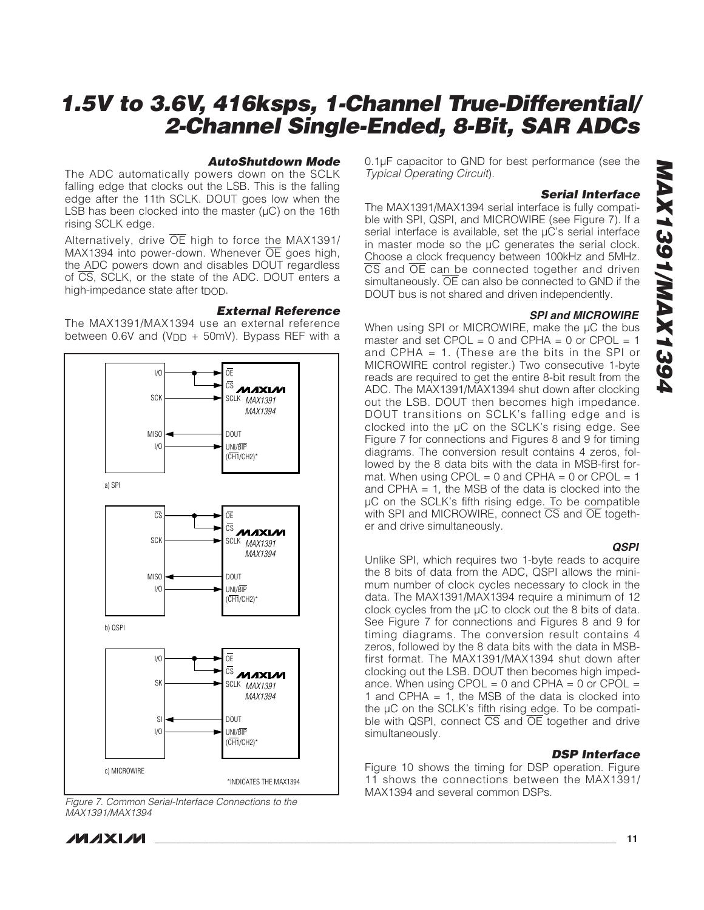#### **AutoShutdown Mode**

The ADC automatically powers down on the SCLK falling edge that clocks out the LSB. This is the falling edge after the 11th SCLK. DOUT goes low when the LSB has been clocked into the master  $(\mu C)$  on the 16th rising SCLK edge.

Alternatively, drive  $\overline{OE}$  high to force the MAX1391/ MAX1394 into power-down. Whenever OE goes high, the ADC powers down and disables DOUT regardless of CS, SCLK, or the state of the ADC. DOUT enters a high-impedance state after t<sub>DOD</sub>.

#### **External Reference**

The MAX1391/MAX1394 use an external reference between 0.6V and (V<sub>DD</sub> + 50mV). Bypass REF with a



Figure 7. Common Serial-Interface Connections to the MAX1391/MAX1394

0.1µF capacitor to GND for best performance (see the Typical Operating Circuit).

#### **Serial Interface**

The MAX1391/MAX1394 serial interface is fully compatible with SPI, QSPI, and MICROWIRE (see Figure 7). If a serial interface is available, set the µC's serial interface in master mode so the µC generates the serial clock. Choose a clock frequency between 100kHz and 5MHz. CS and OE can be connected together and driven simultaneously. OE can also be connected to GND if the DOUT bus is not shared and driven independently.

#### **SPI and MICROWIRE**

When using SPI or MICROWIRE, make the µC the bus master and set  $CPOL = 0$  and  $CPHA = 0$  or  $CPOL = 1$ and CPHA = 1. (These are the bits in the SPI or MICROWIRE control register.) Two consecutive 1-byte reads are required to get the entire 8-bit result from the ADC. The MAX1391/MAX1394 shut down after clocking out the LSB. DOUT then becomes high impedance. DOUT transitions on SCLK's falling edge and is clocked into the µC on the SCLK's rising edge. See Figure 7 for connections and Figures 8 and 9 for timing diagrams. The conversion result contains 4 zeros, followed by the 8 data bits with the data in MSB-first format. When using  $CPOL = 0$  and  $CPHA = 0$  or  $CPOL = 1$ and CPHA = 1, the MSB of the data is clocked into the µC on the SCLK's fifth rising edge. To be compatible with SPI and MICROWIRE, connect CS and OE together and drive simultaneously.

#### **QSPI**

Unlike SPI, which requires two 1-byte reads to acquire the 8 bits of data from the ADC, QSPI allows the minimum number of clock cycles necessary to clock in the data. The MAX1391/MAX1394 require a minimum of 12 clock cycles from the µC to clock out the 8 bits of data. See Figure 7 for connections and Figures 8 and 9 for timing diagrams. The conversion result contains 4 zeros, followed by the 8 data bits with the data in MSBfirst format. The MAX1391/MAX1394 shut down after clocking out the LSB. DOUT then becomes high impedance. When using  $CPOL = 0$  and  $CPHA = 0$  or  $CPOL =$ 1 and CPHA  $= 1$ , the MSB of the data is clocked into the µC on the SCLK's fifth rising edge. To be compatible with QSPI, connect  $\overline{CS}$  and  $\overline{OE}$  together and drive simultaneously.

#### **DSP Interface**

Figure 10 shows the timing for DSP operation. Figure 11 shows the connections between the MAX1391/ MAX1394 and several common DSPs.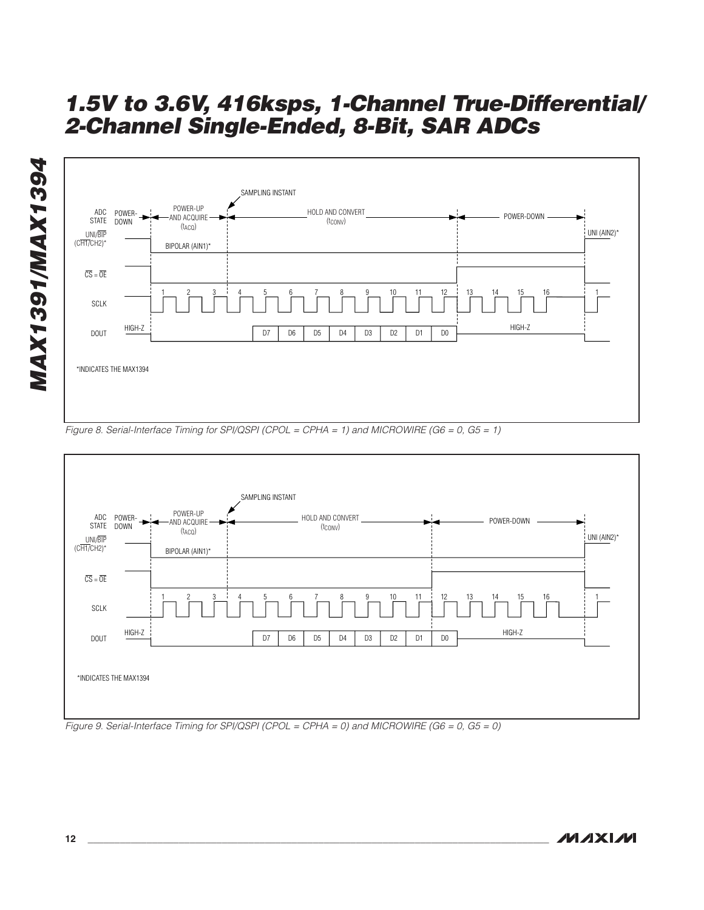

Figure 8. Serial-Interface Timing for SPI/QSPI (CPOL = CPHA = 1) and MICROWIRE (G6 = 0, G5 = 1)



Figure 9. Serial-Interface Timing for SPI/QSPI (CPOL = CPHA = 0) and MICROWIRE (G6 = 0, G5 = 0)

**MAX1391/MAX1394** MAX1391/MAX1394

**MAXM**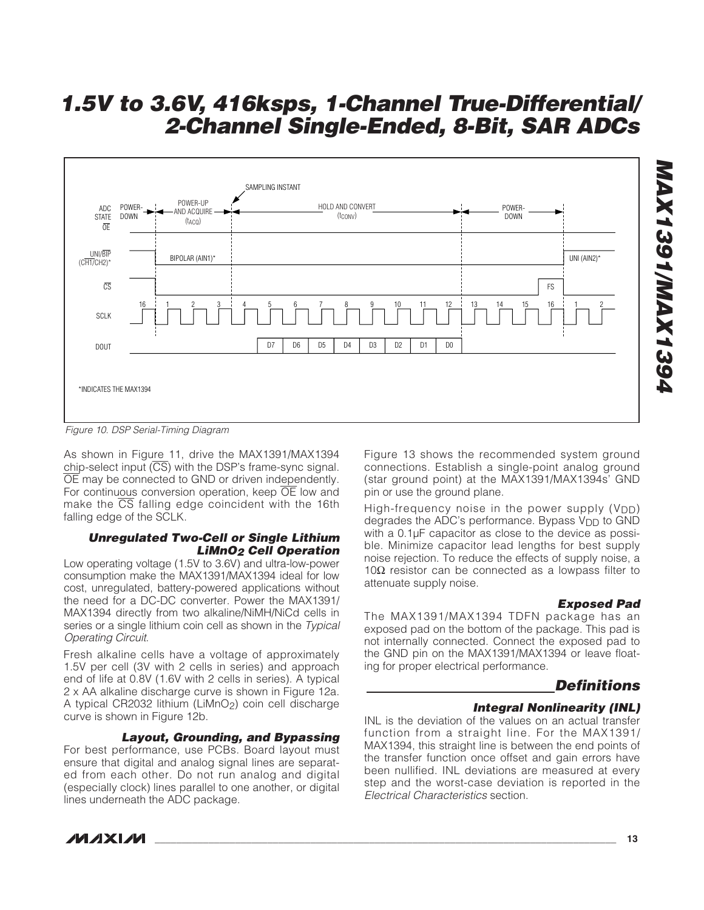

Figure 10. DSP Serial-Timing Diagram

As shown in Figure 11, drive the MAX1391/MAX1394 chip-select input  $(\overline{CS})$  with the DSP's frame-sync signal. OE may be connected to GND or driven independently. For continuous conversion operation, keep OE low and make the  $\overline{CS}$  falling edge coincident with the 16th falling edge of the SCLK.

#### **Unregulated Two-Cell or Single Lithium LiMnO<sup>2</sup> Cell Operation**

Low operating voltage (1.5V to 3.6V) and ultra-low-power consumption make the MAX1391/MAX1394 ideal for low cost, unregulated, battery-powered applications without the need for a DC-DC converter. Power the MAX1391/ MAX1394 directly from two alkaline/NiMH/NiCd cells in series or a single lithium coin cell as shown in the Typical Operating Circuit.

Fresh alkaline cells have a voltage of approximately 1.5V per cell (3V with 2 cells in series) and approach end of life at 0.8V (1.6V with 2 cells in series). A typical 2 x AA alkaline discharge curve is shown in Figure 12a. A typical CR2032 lithium (LiMnO2) coin cell discharge curve is shown in Figure 12b.

#### **Layout, Grounding, and Bypassing**

For best performance, use PCBs. Board layout must ensure that digital and analog signal lines are separated from each other. Do not run analog and digital (especially clock) lines parallel to one another, or digital lines underneath the ADC package.

Figure 13 shows the recommended system ground connections. Establish a single-point analog ground (star ground point) at the MAX1391/MAX1394s' GND pin or use the ground plane.

High-frequency noise in the power supply  $(V_{DD})$ degrades the ADC's performance. Bypass V<sub>DD</sub> to GND with a 0.1µF capacitor as close to the device as possible. Minimize capacitor lead lengths for best supply noise rejection. To reduce the effects of supply noise, a 10Ω resistor can be connected as a lowpass filter to attenuate supply noise.

#### **Exposed Pad**

The MAX1391/MAX1394 TDFN package has an exposed pad on the bottom of the package. This pad is not internally connected. Connect the exposed pad to the GND pin on the MAX1391/MAX1394 or leave floating for proper electrical performance.

#### **Definitions**

#### **Integral Nonlinearity (INL)**

INL is the deviation of the values on an actual transfer function from a straight line. For the MAX1391/ MAX1394, this straight line is between the end points of the transfer function once offset and gain errors have been nullified. INL deviations are measured at every step and the worst-case deviation is reported in the Electrical Characteristics section.

**MAX1391/MAX1394 4921391/MAX1394** 

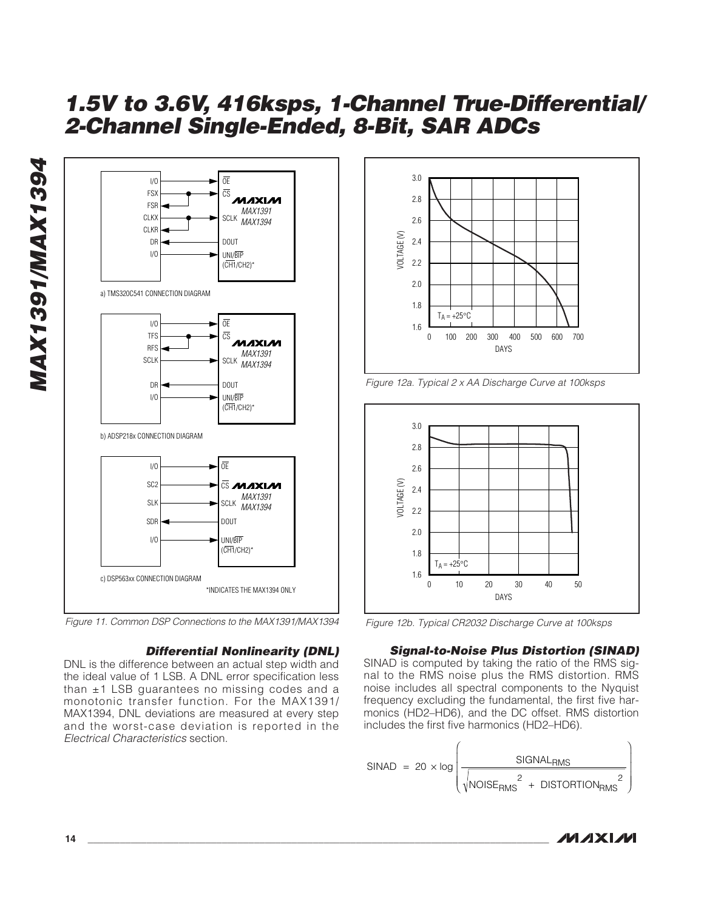



#### **Differential Nonlinearity (DNL)**

DNL is the difference between an actual step width and the ideal value of 1 LSB. A DNL error specification less than ±1 LSB guarantees no missing codes and a monotonic transfer function. For the MAX1391/ MAX1394, DNL deviations are measured at every step and the worst-case deviation is reported in the Electrical Characteristics section.



Figure 12a. Typical 2 x AA Discharge Curve at 100ksps



Figure 12b. Typical CR2032 Discharge Curve at 100ksps

#### **Signal-to-Noise Plus Distortion (SINAD)**

SINAD is computed by taking the ratio of the RMS signal to the RMS noise plus the RMS distortion. RMS noise includes all spectral components to the Nyquist frequency excluding the fundamental, the first five harmonics (HD2–HD6), and the DC offset. RMS distortion includes the first five harmonics (HD2–HD6).

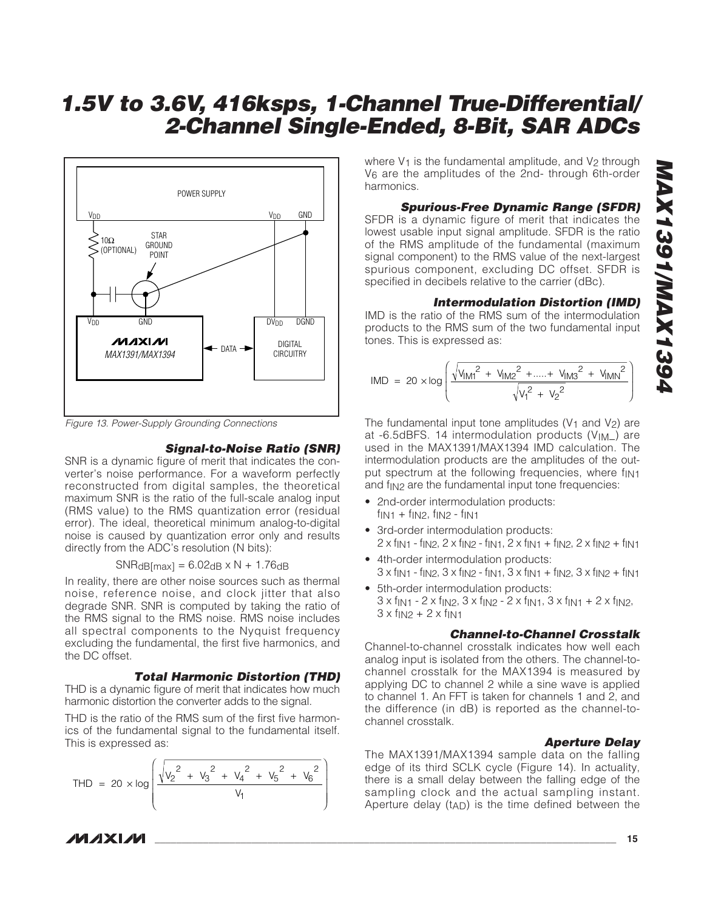# **MAX1391/MAX1394 P6217100/IMAX1394**

# **1.5V to 3.6V, 416ksps, 1-Channel True-Differential/ 2-Channel Single-Ended, 8-Bit, SAR ADCs**



Figure 13. Power-Supply Grounding Connections

#### **Signal-to-Noise Ratio (SNR)**

SNR is a dynamic figure of merit that indicates the converter's noise performance. For a waveform perfectly reconstructed from digital samples, the theoretical maximum SNR is the ratio of the full-scale analog input (RMS value) to the RMS quantization error (residual error). The ideal, theoretical minimum analog-to-digital noise is caused by quantization error only and results directly from the ADC's resolution (N bits):

 $SNR<sub>dB</sub>[max] = 6.02<sub>dB</sub> × N + 1.76<sub>dB</sub>$ 

In reality, there are other noise sources such as thermal noise, reference noise, and clock jitter that also degrade SNR. SNR is computed by taking the ratio of the RMS signal to the RMS noise. RMS noise includes all spectral components to the Nyquist frequency excluding the fundamental, the first five harmonics, and the DC offset.

#### **Total Harmonic Distortion (THD)**

THD is a dynamic figure of merit that indicates how much harmonic distortion the converter adds to the signal.

THD is the ratio of the RMS sum of the first five harmonics of the fundamental signal to the fundamental itself. This is expressed as:

$$
\text{THD} = 20 \times \log \left( \frac{\sqrt{{v_2}^2 + {v_3}^2 + {v_4}^2 + {v_5}^2 + {v_6}^2}}{v_1} \right)
$$

**MAXIM** 

where  $V_1$  is the fundamental amplitude, and  $V_2$  through V<sub>6</sub> are the amplitudes of the 2nd- through 6th-order harmonics.

## **Spurious-Free Dynamic Range (SFDR)**

SFDR is a dynamic figure of merit that indicates the lowest usable input signal amplitude. SFDR is the ratio of the RMS amplitude of the fundamental (maximum signal component) to the RMS value of the next-largest spurious component, excluding DC offset. SFDR is specified in decibels relative to the carrier (dBc).

#### **Intermodulation Distortion (IMD)**

IMD is the ratio of the RMS sum of the intermodulation products to the RMS sum of the two fundamental input tones. This is expressed as:

$$
IMD = 20 \times \log \left( \frac{\sqrt{V_{1M1}^2 + V_{1M2}^2 + \dots + V_{1M3}^2 + V_{1M1}^2}}{\sqrt{V_1^2 + V_2^2}} \right)
$$

The fundamental input tone amplitudes ( $V_1$  and  $V_2$ ) are at -6.5dBFS. 14 intermodulation products  $(V_{IM})$  are used in the MAX1391/MAX1394 IMD calculation. The intermodulation products are the amplitudes of the output spectrum at the following frequencies, where fint and  $f_{IN2}$  are the fundamental input tone frequencies:

- 2nd-order intermodulation products:  $f_{IN1} + f_{IN2}$ ,  $f_{IN2} - f_{IN1}$
- 3rd-order intermodulation products:  $2 \times f_{IN1}$  - f<sub>IN2</sub>,  $2 \times f_{IN2}$  - f<sub>IN1</sub>,  $2 \times f_{IN1}$  + f<sub>IN2</sub>,  $2 \times f_{IN2}$  + f<sub>IN1</sub>
- 4th-order intermodulation products: 3 x fIN1 - fIN2, 3 x fIN2 - fIN1, 3 x fIN1 + fIN2, 3 x fIN2 + fIN1
- 5th-order intermodulation products:  $3 \times f_{\text{IN1}}$  - 2  $\times f_{\text{IN2}}$ ,  $3 \times f_{\text{IN2}}$  - 2  $\times f_{\text{IN1}}$ ,  $3 \times f_{\text{IN1}}$  + 2  $\times f_{\text{IN2}}$ ,  $3 \times f_{1N2} + 2 \times f_{1N1}$

#### **Channel-to-Channel Crosstalk**

Channel-to-channel crosstalk indicates how well each analog input is isolated from the others. The channel-tochannel crosstalk for the MAX1394 is measured by applying DC to channel 2 while a sine wave is applied to channel 1. An FFT is taken for channels 1 and 2, and the difference (in dB) is reported as the channel-tochannel crosstalk.

#### **Aperture Delay**

The MAX1391/MAX1394 sample data on the falling edge of its third SCLK cycle (Figure 14). In actuality, there is a small delay between the falling edge of the sampling clock and the actual sampling instant. Aperture delay  $(t_{AD})$  is the time defined between the

**\_\_\_\_\_\_\_\_\_\_\_\_\_\_\_\_\_\_\_\_\_\_\_\_\_\_\_\_\_\_\_\_\_\_\_\_\_\_\_\_\_\_\_\_\_\_\_\_\_\_\_\_\_\_\_\_\_\_\_\_\_\_\_\_\_\_\_\_\_\_\_\_\_\_\_\_\_\_\_\_\_\_\_\_\_\_ 15**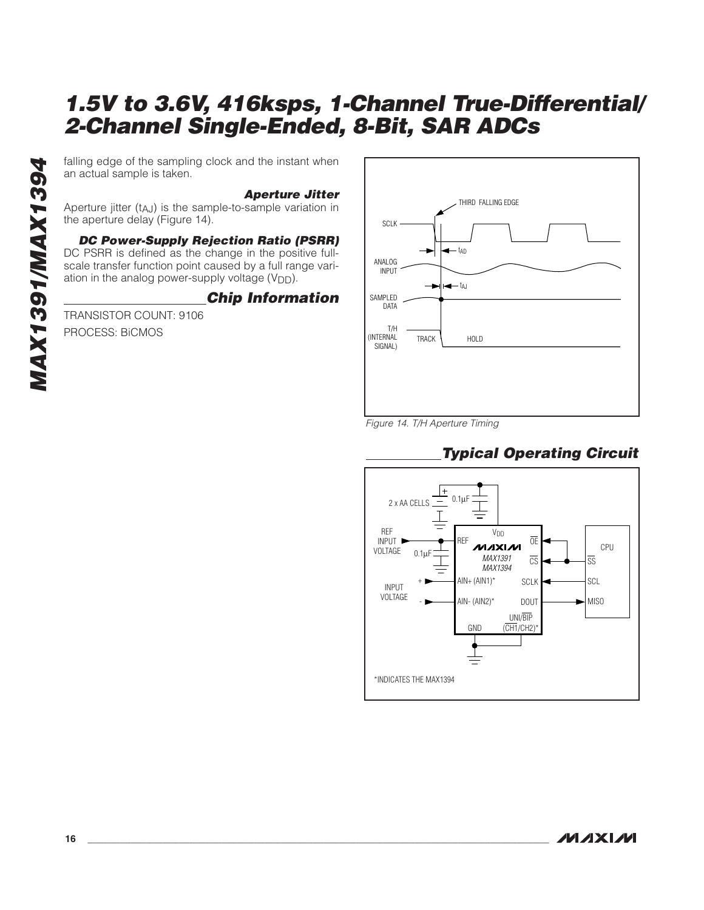an actual sample is taken.

#### **Aperture Jitter**

Aperture jitter (tAJ) is the sample-to-sample variation in the aperture delay (Figure 14).

#### **DC Power-Supply Rejection Ratio (PSRR)** DC PSRR is defined as the change in the positive full-

falling edge of the sampling clock and the instant when<br>an actual sample is taken.<br>Aperture jitter (t<sub>AJ</sub>) is the sample-to-sample variation in<br>the aperture delay (Figure 14).<br>**DC Power-Supply Rejection Ratio (PSRR)**<br>DC PS scale transfer function point caused by a full range variation in the analog power-supply voltage  $(V_{DD})$ .

## **Chip Information**

TRANSISTOR COUNT: 9106 PROCESS: BiCMOS



Figure 14. T/H Aperture Timing

## **Typical Operating Circuit**

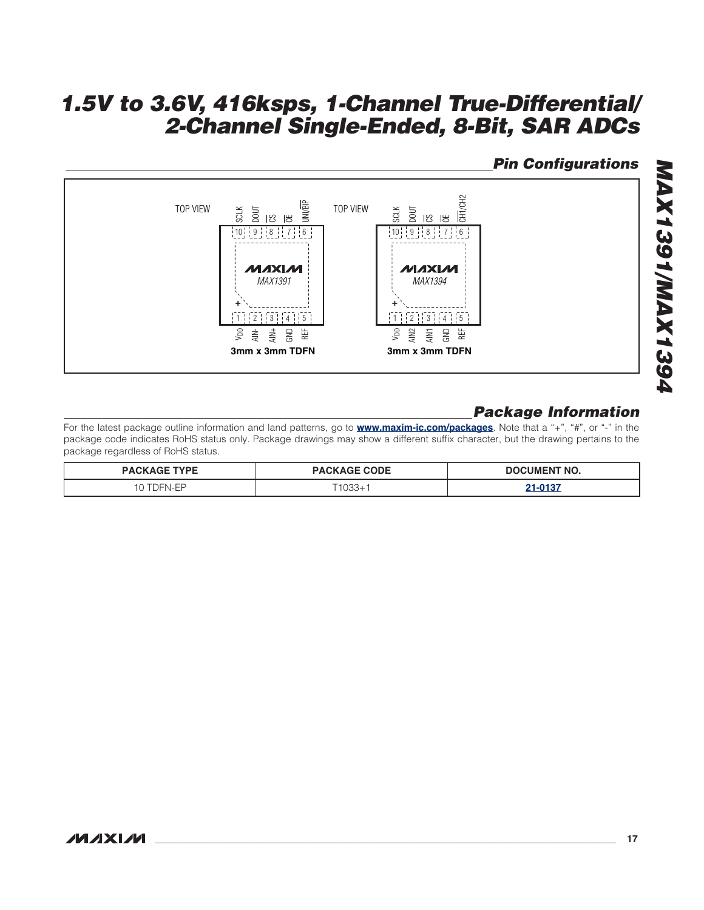## **Pin Configurations**



## **Package Information**

For the latest package outline information and land patterns, go to **www.maxim-ic.com/packages**. Note that a "+", "#", or "-" in the package code indicates RoHS status only. Package drawings may show a different suffix character, but the drawing pertains to the package regardless of RoHS status.

| <b>TYPE</b><br><b>DACK</b> | <b>PACKAGE CODE</b> | TNT NO.<br>זרזר<br>a∷UM⊢N' |  |  |
|----------------------------|---------------------|----------------------------|--|--|
| $1 - N$                    | .000                | 0.107                      |  |  |